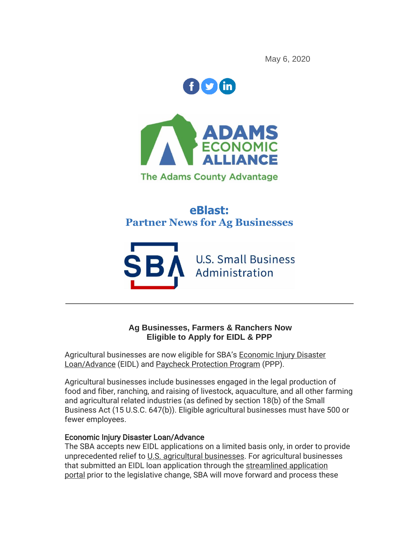May 6, 2020



**The Adams County Advantage** 

# **eBlast: Partner News for Ag Businesses**



### **Ag Businesses, Farmers & Ranchers Now Eligible to Apply for EIDL & PPP**

Agricultural businesses are now eligible for SBA's [Economic Injury Disaster](http://r20.rs6.net/tn.jsp?f=001D3ScRxkNkyk_LKASYOmbecGs-N9MFJ3qvLZpfSMRs7FpblLynF-YaipPxXQa4cZZzlgHXVJEOjyGXUZXlvg2I7ymiKfTRAX5S-CaPmdL3CtAcQdcUDOGZ_U2v5v9KbVthSBSUNsuEjQ80AD5fkd_U2lDbAo5VbZwnzPokcLbC7GKTxPR6n6x6XPqOhYpnNWxOHPFbEUmg7pe0BY8pp7BW1oWgxABl6NBdpXWnd_D4XfgMp0-ebe3H-5ndlpkmGxBi91ekAdeUcv1qyWDF0w1YhIaYYYPsMG6AHpGwyJLq6EVGAJk3bcpWt-92tKgVsZFAsYoSq90ZvCWsLqCF5CxLN8mc3vcS-fcjXbWpzp9br1vQdwPveb3GUzsbGIR7JTiRPMA9r56uCj4FNdTfPskYv2F_PSkGN0FxvbvWUNYQT4_SDdYMnx_lI4w9YNPPU8Gu8Jp8oHwzz9W0ZYG6smB_Rr2-HcnIu_zmWgkzXvo_BRkI8LVoCrTPh_VoD2d-GqUee66t7hu51YqX3MXR3bidNIbsHni3gYuKSxo3dLfuEUaeD8yQ46yIu-tjM7iLBRoba89708NNBZhs_q2bSMKNeVEaX6E0XAtrtbgPZax7CHErwtI4qBruEr-qgsxnulTmwdl-cP-m1Ge6gw9jYRsOorpaaHL5lsWhp2wGYrw3LM=&c=s5t25kufYlEUWeX7HuJ7gL0vvsS5HlTp739zmlmoYeQKDDdICWK3Wg==&ch=Spa-tVgED18BHSU_7K-eplg59RztX8Ncnv6qARueCkEGq4Y-u1R_zg==)  [Loan/Advance](http://r20.rs6.net/tn.jsp?f=001D3ScRxkNkyk_LKASYOmbecGs-N9MFJ3qvLZpfSMRs7FpblLynF-YaipPxXQa4cZZzlgHXVJEOjyGXUZXlvg2I7ymiKfTRAX5S-CaPmdL3CtAcQdcUDOGZ_U2v5v9KbVthSBSUNsuEjQ80AD5fkd_U2lDbAo5VbZwnzPokcLbC7GKTxPR6n6x6XPqOhYpnNWxOHPFbEUmg7pe0BY8pp7BW1oWgxABl6NBdpXWnd_D4XfgMp0-ebe3H-5ndlpkmGxBi91ekAdeUcv1qyWDF0w1YhIaYYYPsMG6AHpGwyJLq6EVGAJk3bcpWt-92tKgVsZFAsYoSq90ZvCWsLqCF5CxLN8mc3vcS-fcjXbWpzp9br1vQdwPveb3GUzsbGIR7JTiRPMA9r56uCj4FNdTfPskYv2F_PSkGN0FxvbvWUNYQT4_SDdYMnx_lI4w9YNPPU8Gu8Jp8oHwzz9W0ZYG6smB_Rr2-HcnIu_zmWgkzXvo_BRkI8LVoCrTPh_VoD2d-GqUee66t7hu51YqX3MXR3bidNIbsHni3gYuKSxo3dLfuEUaeD8yQ46yIu-tjM7iLBRoba89708NNBZhs_q2bSMKNeVEaX6E0XAtrtbgPZax7CHErwtI4qBruEr-qgsxnulTmwdl-cP-m1Ge6gw9jYRsOorpaaHL5lsWhp2wGYrw3LM=&c=s5t25kufYlEUWeX7HuJ7gL0vvsS5HlTp739zmlmoYeQKDDdICWK3Wg==&ch=Spa-tVgED18BHSU_7K-eplg59RztX8Ncnv6qARueCkEGq4Y-u1R_zg==) (EIDL) and [Paycheck Protection Program](http://r20.rs6.net/tn.jsp?f=001D3ScRxkNkyk_LKASYOmbecGs-N9MFJ3qvLZpfSMRs7FpblLynF-YaipPxXQa4cZZnxv78g-eHZ-Lmh-zsTDlBqW9MlroLH_bHQep9HA9jMZmTCP_Ps3GeO-UyN3Q_0TOht7BtrTqb2zbR1fiwKgjrVfMo1_XHeU7pbdHQYo0UP5VF-dLVhx-wtZWlo1ZmWlVtw7a0Jn6ZyjRjIWkmWGmIO2BT0NePmNBzf0YNmSZ1usBdKVokEZMkSg8uDcNuezMYwEVNSDH2aMwxDhqs8kHCNfNZkdlUKnoi9YJUjniC6lMOul9mqwS9-x_x8NvRNKzvqPoI4DVgmppFAugbkR9XyHifrCydJwqz_G2sXGhDobBTov3vB04kKdh4qNP1awzljzreKtPb7B9Jq4bXk_xNu8hUdFtXbfPTQL2QIo9Vw21W5GrMHNuSRykLYHC-1lK9wtBJB_6G57PUmy7tBd1qKzvhgt6vBwFxeOIE2ZigRUQlpQ0_KjRstgzc0uf6wBVxe7E-PlcBfQkTk0XEAtocENSRwwUlQbXlm6qM89ed5pq5Kq8FRttX5S1HKH3wROsz7xg2HWJnJlz_YYhNWTQYcaxjnbgV68bZtCXZmRWTblzFSUZRNXf_Rpqji_Q2ldfPVbQ6gyFpbY=&c=s5t25kufYlEUWeX7HuJ7gL0vvsS5HlTp739zmlmoYeQKDDdICWK3Wg==&ch=Spa-tVgED18BHSU_7K-eplg59RztX8Ncnv6qARueCkEGq4Y-u1R_zg==) (PPP).

Agricultural businesses include businesses engaged in the legal production of food and fiber, ranching, and raising of livestock, aquaculture, and all other farming and agricultural related industries (as defined by section 18(b) of the Small Business Act (15 U.S.C. 647(b)). Eligible agricultural businesses must have 500 or fewer employees.

### Economic Injury Disaster Loan/Advance

The SBA accepts new EIDL applications on a limited basis only, in order to provide unprecedented relief to [U.S. agricultural businesses.](http://r20.rs6.net/tn.jsp?f=001D3ScRxkNkyk_LKASYOmbecGs-N9MFJ3qvLZpfSMRs7FpblLynF-YaipPxXQa4cZZzqJt1J5aHCQEN1VUGt56IuWt9GNURH6tcc6uoCpvy5a0MAD6fcu65rrTqRkewLI7HJVvqKn4MPj1DU53PizMzxmbpg_4LfAP4ObyH9JJL0Z0poAlMHTZYx3sn7r-ixknoWLRg2OsG_yjmvuOjIhHQIQWMxeYG5nzRrHkYtXzdop-FJopz4GjKtfwYJr_T8T7oVytzPvsWKeJSicC5L7Rxacq8iwnMiipb42UIm1afu3vVz4YSK3TjDGXA3nueASwakbj216qrV4jag0xwTnA_cZGyP_MdBqhef_Qi0-uIYUv6UPGCSSHYC45D-Ei6UwdrVZBXzPW2AlBK06OOsBeQLQiPjCyNnmu1Py5FzJ2laauaGRRftZLcWXSlGJK1V8p9DDsafBI0c7qqFfA0oZ4b03Fc2aplcTTVWfVh4dTMkY-emO9mn-r3yegizxhbVFFMtwRtqWJ__k=&c=s5t25kufYlEUWeX7HuJ7gL0vvsS5HlTp739zmlmoYeQKDDdICWK3Wg==&ch=Spa-tVgED18BHSU_7K-eplg59RztX8Ncnv6qARueCkEGq4Y-u1R_zg==) For agricultural businesses that submitted an EIDL loan application through the [streamlined application](http://r20.rs6.net/tn.jsp?f=001D3ScRxkNkyk_LKASYOmbecGs-N9MFJ3qvLZpfSMRs7FpblLynF-YaipPxXQa4cZZwQtFlM7JPyikOC0S33LnD7RXt0sLI-BIoZkOoYcDLMLLKZx44fksr52yk10NphxovHZKfn3zc-11bN89r3OS5W9GPCn8iq3fTqVPcSDgdx-y36IsirtxTx4Iuh6VaLIj4pyCDcsAbgGy_X0VikFndN5V3o-iOqJvFKuGDVgklP5w3XrVzXawZWhieBb45QORvYtBsipZstDCgCmgkk4fN45p5gro8Mwq_C80HVhnHNg8Uw0raLXcW2o75dvWkfRP5-QgWEkwVfPl9-yTgU06758CPzzRONZRJGAxpfaT1XaAKTfGD2LyvYc6zjydlL1E_c0RpZtrr21mW48h4LO_Jf3DXUX8Xl6GD_0jZnpkX5hsk6dhCC_lFMuYKvh3Kk5f56lSm2Y5MOEVFhJs33JTkDUvyLhVjkP6Joi2It4DIYKUV8uLj05IC75dfhPyguF1yVr-xDWiXM7Z11oCcj06Ew==&c=s5t25kufYlEUWeX7HuJ7gL0vvsS5HlTp739zmlmoYeQKDDdICWK3Wg==&ch=Spa-tVgED18BHSU_7K-eplg59RztX8Ncnv6qARueCkEGq4Y-u1R_zg==)  [portal](http://r20.rs6.net/tn.jsp?f=001D3ScRxkNkyk_LKASYOmbecGs-N9MFJ3qvLZpfSMRs7FpblLynF-YaipPxXQa4cZZwQtFlM7JPyikOC0S33LnD7RXt0sLI-BIoZkOoYcDLMLLKZx44fksr52yk10NphxovHZKfn3zc-11bN89r3OS5W9GPCn8iq3fTqVPcSDgdx-y36IsirtxTx4Iuh6VaLIj4pyCDcsAbgGy_X0VikFndN5V3o-iOqJvFKuGDVgklP5w3XrVzXawZWhieBb45QORvYtBsipZstDCgCmgkk4fN45p5gro8Mwq_C80HVhnHNg8Uw0raLXcW2o75dvWkfRP5-QgWEkwVfPl9-yTgU06758CPzzRONZRJGAxpfaT1XaAKTfGD2LyvYc6zjydlL1E_c0RpZtrr21mW48h4LO_Jf3DXUX8Xl6GD_0jZnpkX5hsk6dhCC_lFMuYKvh3Kk5f56lSm2Y5MOEVFhJs33JTkDUvyLhVjkP6Joi2It4DIYKUV8uLj05IC75dfhPyguF1yVr-xDWiXM7Z11oCcj06Ew==&c=s5t25kufYlEUWeX7HuJ7gL0vvsS5HlTp739zmlmoYeQKDDdICWK3Wg==&ch=Spa-tVgED18BHSU_7K-eplg59RztX8Ncnv6qARueCkEGq4Y-u1R_zg==) prior to the legislative change, SBA will move forward and process these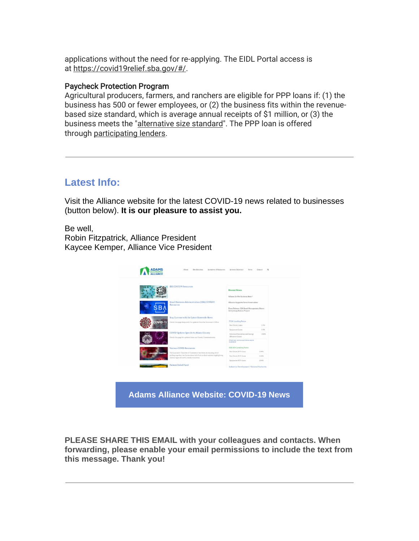applications without the need for re-applying. The EIDL Portal access is at [https://covid19relief.sba.gov/#/.](http://r20.rs6.net/tn.jsp?f=001D3ScRxkNkyk_LKASYOmbecGs-N9MFJ3qvLZpfSMRs7FpblLynF-YaipPxXQa4cZZaROSdC8DLUdCI7SxTl8cKjIKFgOttjUiKozecIVirGn_CtEKVoXCi2-bvxEkQoESvrWHvFEIbDv-wU0_DTHFw-DwjPSFlprvNjBtLB9OVcBNqHVI53DQzeDxcn14NXhfEsrkNT7nzxMSB0A25EyA5pQZZ0VespQuSl67jLxFL_N48kfVOvnfIF08WedVeTRwri8OtDfiY4GSdOkXAncra12XnxbybNo5xQ8eTI9UQFkX4A5o-o_DNq6h6Ry8z0yq4iC0bNppUPOAKeAnnaNvIyLIJtadBT-a7C1mRmz9s00VZSbkgYQsLUfwpjlBDR8ZzDbI0uXHLbLx76c-Kkkgx04UpHAyRdvxsOcFqISXag3dR4seX0l6UbCI8M4LyIN92at_LfitAMfdO_q062g7PWGjRQx3Rww9ee5-f5dsNUqtbU-z5C_Ll3JrzlnVM79U6Bw9y7DidECFhDcLKvLnUg==&c=s5t25kufYlEUWeX7HuJ7gL0vvsS5HlTp739zmlmoYeQKDDdICWK3Wg==&ch=Spa-tVgED18BHSU_7K-eplg59RztX8Ncnv6qARueCkEGq4Y-u1R_zg==)

#### Paycheck Protection Program

Agricultural producers, farmers, and ranchers are eligible for PPP loans if: (1) the business has 500 or fewer employees, or (2) the business fits within the revenuebased size standard, which is average annual receipts of \$1 million, or (3) the business meets the ["alternative size standard"](http://r20.rs6.net/tn.jsp?f=001D3ScRxkNkyk_LKASYOmbecGs-N9MFJ3qvLZpfSMRs7FpblLynF-YaipPxXQa4cZZKVno08-oLwuc0-54rob0WJLaiNUo8KBKEe7d61LPj3zQiskxUW0z__E2OrwGVb1UAQA_AXfssWElrI9qnLI0vgSlQfZ9qu08dRYbRa2JS3R1DPelr8IfBHsmAMRjEWjiQnQXVFrMiJjZXIXwboJb0uvR1wSPf6RlZ8EN0PCZxo6w8cxna01IeLLt5WL2Smh2sCvsnfCcoHHA5Xq6BFO5BBJaNw9IOKTqSPXD3L6YQKRDvtaM3zs7jDaU4Hzi3x0yIOyzqUQjDEHLDpEd1kmBq3efRQxeLLg8XRcWtKQscsMPeTkn9xQK-tT9sxFdVHbJsHJgGFF57CCbm9N6341jxhIgdfi3EMZMuK6ZhOf0sZzJsSiwoppB5Kt0OKF3zCquhDEyPo58qLHwpf0YLT3wfbQzmZhwZdY91_6aBYb6tH73Hy6K5r2Y1gL8XzoOY2lEGqCdMQ5j3PxZVZnP_OWrgCGrSNoQYyG4q3b-eam3DxKj9Jdg6EjXhdWOOZsPHhLY4qfzKZ19Gd_ooAvzkTphH3UIiZgJHU-N&c=s5t25kufYlEUWeX7HuJ7gL0vvsS5HlTp739zmlmoYeQKDDdICWK3Wg==&ch=Spa-tVgED18BHSU_7K-eplg59RztX8Ncnv6qARueCkEGq4Y-u1R_zg==). The PPP loan is offered through [participating lenders.](http://r20.rs6.net/tn.jsp?f=001D3ScRxkNkyk_LKASYOmbecGs-N9MFJ3qvLZpfSMRs7FpblLynF-YaipPxXQa4cZZCVjKdSXzxdRHFpWHqz7dhNJhVm9CoCWJhn1jLA9RQSeXa974OVgewGII1hCcQo-e7dBIx4AxV5Q4Qr44uc-E1-ukM96Y9hdnhw_CtLC9pJi4ulxMxtKdwcuEVR-Tst_0VPEEBL2irq3-tu0IpPLKRG3A6Mt_2sQT42VUZ8rkQ-laZYkWr__479ue2L1DYd2GPCwsx51hZJQQtRdeFgCNvS8EyYEA__Y2gsbN7weCtrAVMSQ2R2gWNHI6ONLK-UsOuEf_vfe64dH-1eL4xy1s1S3XcaX6EDr632c1LHPHWgoo3t4ItIKlerrOShe-VfBnPNUnJed2ST_fNtTZPiq-8OQg6M5rgEiy0QxqF3D2xKmtLl9gSrI0nY04reKeSRvinX5NfxyGfYjpyCtIKIHZW21j34P5B323TqEvekaqGg-wOu5mDyS2mcTqDPZMtjhWwCmiq7J2azl5UWNzpCBvE5D2iyP5P9TatA9OswTFc1w=&c=s5t25kufYlEUWeX7HuJ7gL0vvsS5HlTp739zmlmoYeQKDDdICWK3Wg==&ch=Spa-tVgED18BHSU_7K-eplg59RztX8Ncnv6qARueCkEGq4Y-u1R_zg==)

## **Latest Info:**

Visit the Alliance website for the latest COVID-19 news related to businesses (button below). **It is our pleasure to assist you.**

Be well,

Robin Fitzpatrick, Alliance President Kaycee Kemper, Alliance Vice President



**PLEASE SHARE THIS EMAIL with your colleagues and contacts. When forwarding, please enable your email permissions to include the text from this message. Thank you!**